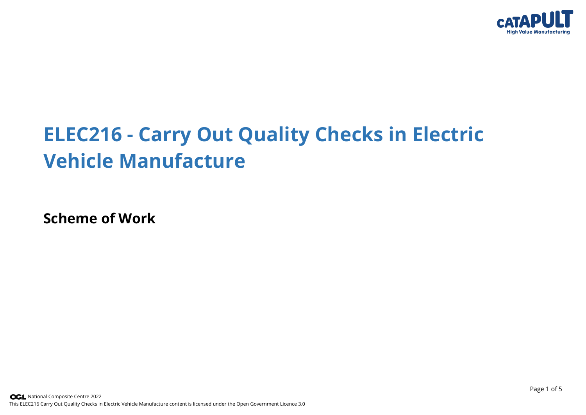

## **ELEC216 - Carry Out Quality Checks in Electric Vehicle Manufacture**

**Scheme of Work**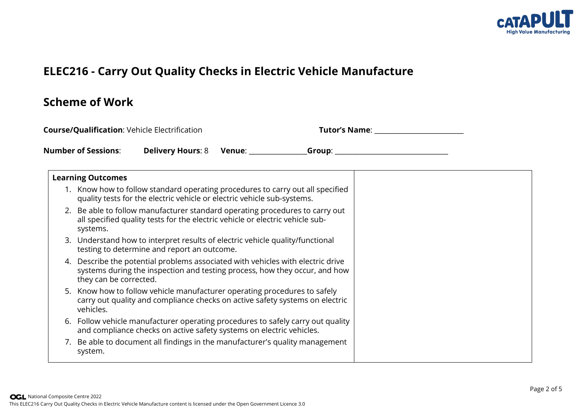

## **ELEC216 - Carry Out Quality Checks in Electric Vehicle Manufacture**

## **Scheme of Work**

| <b>Course/Qualification: Vehicle Electrification</b> |                                                                                                                                                                                      | <b>Tutor's Name:</b> |
|------------------------------------------------------|--------------------------------------------------------------------------------------------------------------------------------------------------------------------------------------|----------------------|
|                                                      | <b>Number of Sessions:</b><br>Delivery Hours: 8 Venue: Group: Caroline Company Control Company Company Company Company Company Company Compa                                         |                      |
|                                                      | <b>Learning Outcomes</b>                                                                                                                                                             |                      |
|                                                      | 1. Know how to follow standard operating procedures to carry out all specified<br>quality tests for the electric vehicle or electric vehicle sub-systems.                            |                      |
|                                                      | 2. Be able to follow manufacturer standard operating procedures to carry out<br>all specified quality tests for the electric vehicle or electric vehicle sub-<br>systems.            |                      |
|                                                      | 3. Understand how to interpret results of electric vehicle quality/functional<br>testing to determine and report an outcome.                                                         |                      |
| 4.                                                   | Describe the potential problems associated with vehicles with electric drive<br>systems during the inspection and testing process, how they occur, and how<br>they can be corrected. |                      |
|                                                      | 5. Know how to follow vehicle manufacturer operating procedures to safely<br>carry out quality and compliance checks on active safety systems on electric<br>vehicles.               |                      |
|                                                      | 6. Follow vehicle manufacturer operating procedures to safely carry out quality<br>and compliance checks on active safety systems on electric vehicles.                              |                      |
|                                                      | 7. Be able to document all findings in the manufacturer's quality management<br>system.                                                                                              |                      |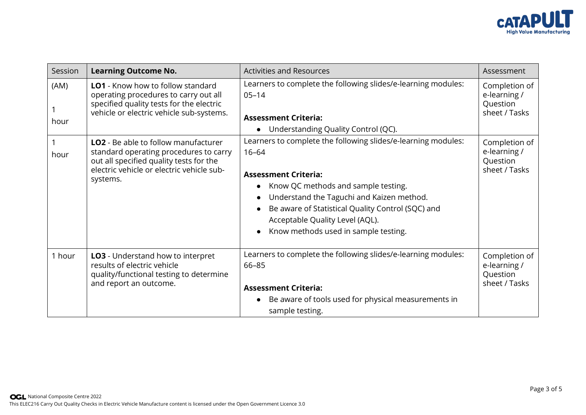

| Session      | <b>Learning Outcome No.</b>                                                                                                                                                               | <b>Activities and Resources</b>                                                                                                                                                                                                                                                                                               | Assessment                                                 |
|--------------|-------------------------------------------------------------------------------------------------------------------------------------------------------------------------------------------|-------------------------------------------------------------------------------------------------------------------------------------------------------------------------------------------------------------------------------------------------------------------------------------------------------------------------------|------------------------------------------------------------|
| (AM)<br>hour | <b>LO1</b> - Know how to follow standard<br>operating procedures to carry out all<br>specified quality tests for the electric<br>vehicle or electric vehicle sub-systems.                 | Learners to complete the following slides/e-learning modules:<br>$05 - 14$<br><b>Assessment Criteria:</b><br>Understanding Quality Control (QC).                                                                                                                                                                              | Completion of<br>e-learning /<br>Question<br>sheet / Tasks |
| hour         | <b>LO2</b> - Be able to follow manufacturer<br>standard operating procedures to carry<br>out all specified quality tests for the<br>electric vehicle or electric vehicle sub-<br>systems. | Learners to complete the following slides/e-learning modules:<br>$16 - 64$<br><b>Assessment Criteria:</b><br>Know QC methods and sample testing.<br>Understand the Taguchi and Kaizen method.<br>Be aware of Statistical Quality Control (SQC) and<br>Acceptable Quality Level (AQL).<br>Know methods used in sample testing. | Completion of<br>e-learning /<br>Question<br>sheet / Tasks |
| 1 hour       | <b>LO3</b> - Understand how to interpret<br>results of electric vehicle<br>quality/functional testing to determine<br>and report an outcome.                                              | Learners to complete the following slides/e-learning modules:<br>66-85<br><b>Assessment Criteria:</b><br>Be aware of tools used for physical measurements in<br>sample testing.                                                                                                                                               | Completion of<br>e-learning /<br>Question<br>sheet / Tasks |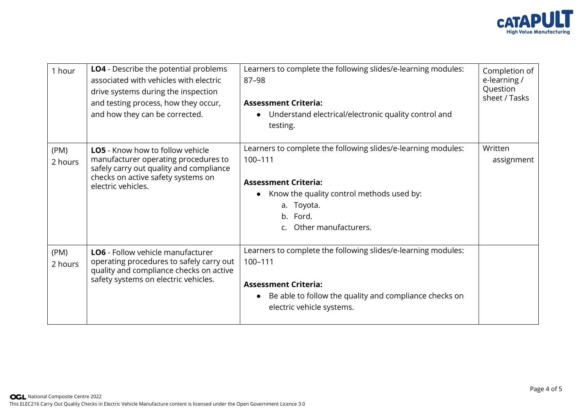

| 1 hour          | <b>LO4</b> - Describe the potential problems<br>associated with vehicles with electric<br>drive systems during the inspection<br>and testing process, how they occur,<br>and how they can be corrected. | Learners to complete the following slides/e-learning modules:<br>87-98<br><b>Assessment Criteria:</b><br>Understand electrical/electronic quality control and<br>testing.                                 | Completion of<br>e-learning /<br>Question<br>sheet / Tasks |
|-----------------|---------------------------------------------------------------------------------------------------------------------------------------------------------------------------------------------------------|-----------------------------------------------------------------------------------------------------------------------------------------------------------------------------------------------------------|------------------------------------------------------------|
| (PM)<br>2 hours | <b>LO5</b> - Know how to follow vehicle<br>manufacturer operating procedures to<br>safely carry out quality and compliance<br>checks on active safety systems on<br>electric vehicles.                  | Learners to complete the following slides/e-learning modules:<br>100-111<br><b>Assessment Criteria:</b><br>Know the quality control methods used by:<br>a. Toyota.<br>b. Ford.<br>c. Other manufacturers. | Written<br>assignment                                      |
| (PM)<br>2 hours | <b>LO6</b> - Follow vehicle manufacturer<br>operating procedures to safely carry out<br>quality and compliance checks on active<br>safety systems on electric vehicles.                                 | Learners to complete the following slides/e-learning modules:<br>100-111<br><b>Assessment Criteria:</b><br>Be able to follow the quality and compliance checks on<br>electric vehicle systems.            |                                                            |